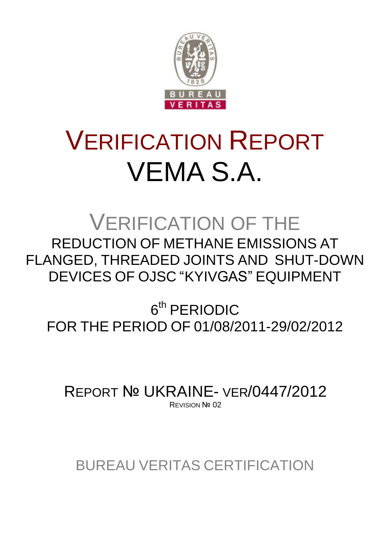

# VERIFICATION REPORT VEMA S.A.

VERIFICATION OF THE REDUCTION OF METHANE EMISSIONS AT FLANGED, THREADED JOINTS AND SHUT-DOWN DEVICES OF OJSC "KYIVGAS" EQUIPMENT

6<sup>th</sup> PERIODIC FOR THE PERIOD OF 01/08/2011-29/02/2012

REPORT № UKRAINE- VER/0447/2012 REVISION Nº 02

BUREAU VERITAS CERTIFICATION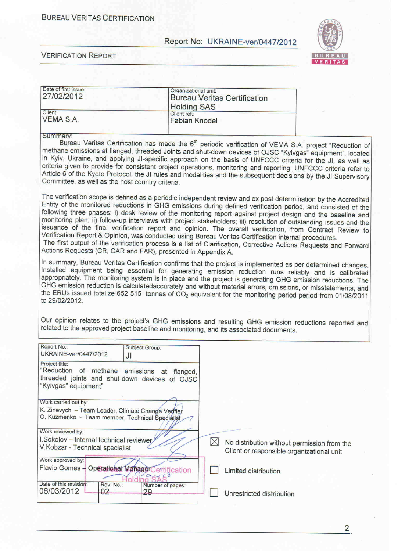VERITAS







 $\overline{2}$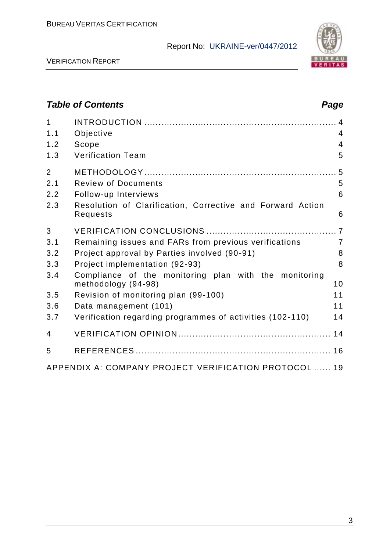



# *Table of Contents Page*

| $\overline{1}$<br>1.1<br>1.2<br>1.3 | Objective<br>Scope<br><b>Verification Team</b>                               | $\overline{4}$<br>$\overline{4}$<br>5 |
|-------------------------------------|------------------------------------------------------------------------------|---------------------------------------|
| $\overline{2}$                      |                                                                              |                                       |
| 2.1                                 | <b>Review of Documents</b>                                                   | 5                                     |
| 2.2                                 | Follow-up Interviews                                                         | 6                                     |
| 2.3                                 | Resolution of Clarification, Corrective and Forward Action<br>Requests       | 6                                     |
| 3                                   |                                                                              |                                       |
| 3.1                                 | Remaining issues and FARs from previous verifications                        | $\overline{7}$                        |
| 3.2                                 | Project approval by Parties involved (90-91)                                 | 8                                     |
| 3.3                                 | Project implementation (92-93)                                               | 8                                     |
| 3.4                                 | Compliance of the monitoring plan with the monitoring<br>methodology (94-98) | 10                                    |
| 3.5                                 | Revision of monitoring plan (99-100)                                         | 11                                    |
| 3.6                                 | Data management (101)                                                        | 11                                    |
| 3.7                                 | Verification regarding programmes of activities (102-110)                    | 14                                    |
| 4                                   |                                                                              |                                       |
| 5                                   |                                                                              |                                       |
|                                     | APPENDIX A: COMPANY PROJECT VERIFICATION PROTOCOL  19                        |                                       |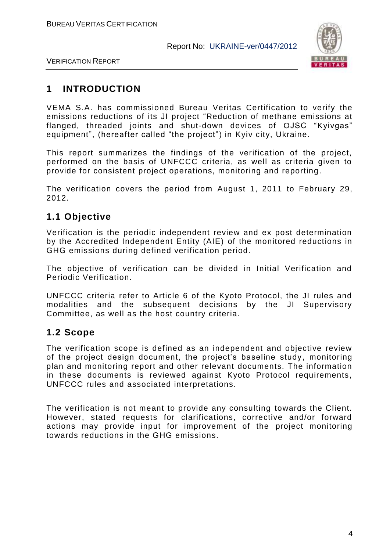

VERIFICATION REPORT

# **1 INTRODUCTION**

VEMA S.A. has commissioned Bureau Veritas Certification to verify the emissions reductions of its JI project "Reduction of methane emissions at flanged, threaded joints and shut-down devices of OJSC "Kyivgas" equipment", (hereafter called "the project") in Kyiv city, Ukraine.

This report summarizes the findings of the verification of the project, performed on the basis of UNFCCC criteria, as well as criteria given to provide for consistent project operations, monitoring and reporting.

The verification covers the period from August 1, 2011 to February 29, 2012.

# **1.1 Objective**

Verification is the periodic independent review and ex post determination by the Accredited Independent Entity (AIE) of the monitored reductions in GHG emissions during defined verification period.

The objective of verification can be divided in Initial Verification and Periodic Verification.

UNFCCC criteria refer to Article 6 of the Kyoto Protocol, the JI rules and modalities and the subsequent decisions by the JI Supervisory Committee, as well as the host country criteria.

# **1.2 Scope**

The verification scope is defined as an independent and objective review of the project design document, the project's baseline study, monitoring plan and monitoring report and other relevant documents. The information in these documents is reviewed against Kyoto Protocol requirements, UNFCCC rules and associated interpretations.

The verification is not meant to provide any consulting towards the Client. However, stated requests for clarifications, corrective and/or forward actions may provide input for improvement of the project monitoring towards reductions in the GHG emissions.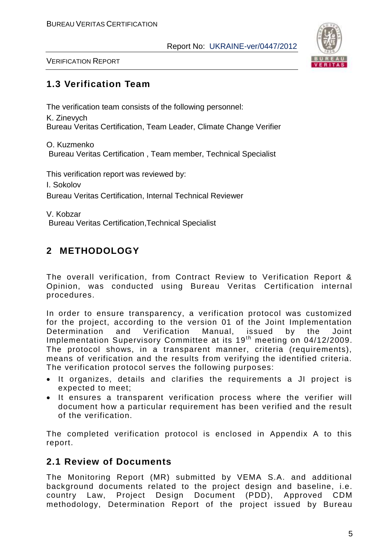

VERIFICATION REPORT

# **1.3 Verification Team**

The verification team consists of the following personnel:

K. Zinevych Bureau Veritas Certification, Team Leader, Climate Change Verifier

O. Kuzmenko Bureau Veritas Certification , Team member, Technical Specialist

This verification report was reviewed by:

I. Sokolov

Bureau Veritas Certification, Internal Technical Reviewer

V. Kobzar Bureau Veritas Certification,Technical Specialist

# **2 METHODOLOGY**

The overall verification, from Contract Review to Verification Report & Opinion, was conducted using Bureau Veritas Certification internal procedures.

In order to ensure transparency, a verification protocol was customized for the project, according to the version 01 of the Joint Implementation Determination and Verification Manual, issued by the Joint Implementation Supervisory Committee at its 19<sup>th</sup> meeting on 04/12/2009. The protocol shows, in a transparent manner, criteria (requirements), means of verification and the results from verifying the identified criteria. The verification protocol serves the following purposes:

- It organizes, details and clarifies the requirements a JI project is expected to meet;
- It ensures a transparent verification process where the verifier will document how a particular requirement has been verified and the result of the verification.

The completed verification protocol is enclosed in Appendix A to this report.

# **2.1 Review of Documents**

The Monitoring Report (MR) submitted by VEMA S.A. and additional background documents related to the project design and baseline, i.e. country Law, Project Design Document (PDD), Approved CDM methodology, Determination Report of the project issued by Bureau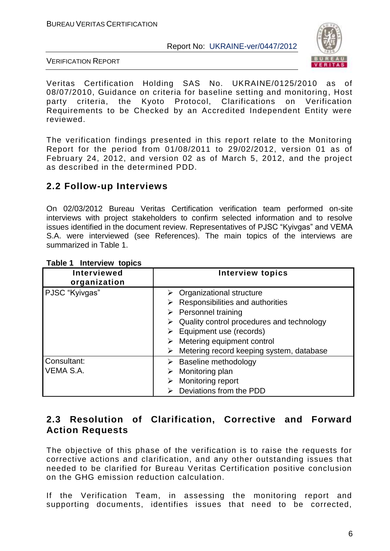

VERIFICATION REPORT

Veritas Certification Holding SAS No. UKRAINE/0125/2010 as of 08/07/2010, Guidance on criteria for baseline setting and monitoring, Host party criteria, the Kyoto Protocol, Clarifications on Verification Requirements to be Checked by an Accredited Independent Entity were reviewed.

The verification findings presented in this report relate to the Monitoring Report for the period from 01/08/2011 to 29/02/2012, version 01 as of February 24, 2012, and version 02 as of March 5, 2012, and the project as described in the determined PDD.

# **2.2 Follow-up Interviews**

On 02/03/2012 Bureau Veritas Certification verification team performed on-site interviews with project stakeholders to confirm selected information and to resolve issues identified in the document review. Representatives of PJSC "Kyivgas" and VEMA S.A. were interviewed (see References). The main topics of the interviews are summarized in Table 1.

| LANIG L<br><b>ILITEL AIGAN INDINS</b> |                                               |
|---------------------------------------|-----------------------------------------------|
| <b>Interviewed</b><br>organization    | <b>Interview topics</b>                       |
| PJSC "Kyivgas"                        | $\triangleright$ Organizational structure     |
|                                       | Responsibilities and authorities              |
|                                       | $\triangleright$ Personnel training           |
|                                       | Quality control procedures and technology     |
|                                       | Equipment use (records)                       |
|                                       | Metering equipment control                    |
|                                       | Metering record keeping system, database<br>➤ |
| Consultant:                           | Baseline methodology<br>➤                     |
| VEMA S.A.                             | Monitoring plan                               |
|                                       | Monitoring report                             |
|                                       | Deviations from the PDD                       |

#### **Table 1 Interview topics**

# **2.3 Resolution of Clarification, Corrective and Forward Action Requests**

The objective of this phase of the verification is to raise the requests for corrective actions and clarification, and any other outstanding issues that needed to be clarified for Bureau Veritas Certification positive conclusion on the GHG emission reduction calculation.

If the Verification Team, in assessing the monitoring report and supporting documents, identifies issues that need to be corrected,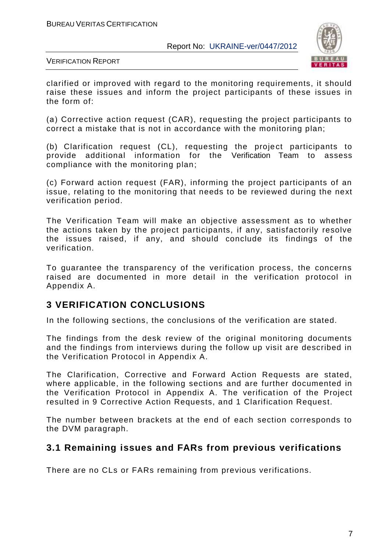

VERIFICATION REPORT

clarified or improved with regard to the monitoring requirements, it should raise these issues and inform the project participants of these issues in the form of:

(а) Corrective action request (CAR), requesting the project participants to correct a mistake that is not in accordance with the monitoring plan;

(b) Clarification request (CL), requesting the project participants to provide additional information for the Verification Team to assess compliance with the monitoring plan;

(c) Forward action request (FAR), informing the project participants of an issue, relating to the monitoring that needs to be reviewed during the next verification period.

The Verification Team will make an objective assessment as to whether the actions taken by the project participants, if any, satisfactorily resolve the issues raised, if any, and should conclude its findings of the verification.

To guarantee the transparency of the verification process, the concerns raised are documented in more detail in the verification protocol in Appendix A.

# **3 VERIFICATION CONCLUSIONS**

In the following sections, the conclusions of the verification are stated.

The findings from the desk review of the original monitoring documents and the findings from interviews during the follow up visit are described in the Verification Protocol in Appendix A.

The Clarification, Corrective and Forward Action Requests are stated, where applicable, in the following sections and are further documented in the Verification Protocol in Appendix A. The verification of the Project resulted in 9 Corrective Action Requests, and 1 Clarification Request.

The number between brackets at the end of each section corresponds to the DVM paragraph.

## **3.1 Remaining issues and FARs from previous verifications**

There are no CLs or FARs remaining from previous verifications.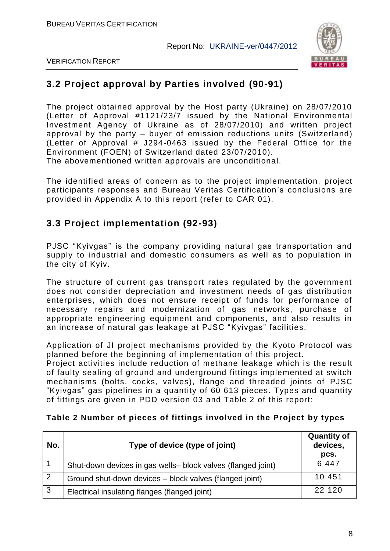

VERIFICATION REPORT

# **3.2 Project approval by Parties involved (90-91)**

The project obtained approval by the Host party (Ukraine) on 28/07/2010 (Letter of Approval #1121/23/7 issued by the National Environmental Investment Agency of Ukraine as of 28/07/2010) and written project approval by the party – buyer of emission reductions units (Switzerland) (Letter of Approval # J294-0463 issued by the Federal Office for the Environment (FOEN) of Switzerland dated 23/07/2010). The abovementioned written approvals are unconditional.

The identified areas of concern as to the project implementation, project participants responses and Bureau Veritas Certification's conclusions are provided in Appendix A to this report (refer to CAR 01).

# **3.3 Project implementation (92-93)**

PJSC "Kyivgas" is the company providing natural gas transportation and supply to industrial and domestic consumers as well as to population in the city of Kyiv.

The structure of current gas transport rates regulated by the government does not consider depreciation and investment needs of gas distribution enterprises, which does not ensure receipt of funds for performance of necessary repairs and modernization of gas networks, purchase of appropriate engineering equipment and components, and also results in an increase of natural gas leakage at PJSC "Kyivgas" facilities.

Application of JI project mechanisms provided by the Kyoto Protocol was planned before the beginning of implementation of this project.

Project activities include reduction of methane leakage which is the result of faulty sealing of ground and underground fittings implemented at switch mechanisms (bolts, cocks, valves), flange and threaded joints of PJSC "Kyivgas" gas pipelines in a quantity of 60 613 pieces. Types and quantity of fittings are given in PDD version 03 and Table 2 of this report:

| No.            | Type of device (type of joint)                               | <b>Quantity of</b><br>devices,<br>pcs. |
|----------------|--------------------------------------------------------------|----------------------------------------|
|                | Shut-down devices in gas wells- block valves (flanged joint) | 6 4 4 7                                |
| $\overline{2}$ | Ground shut-down devices - block valves (flanged joint)      | 10 451                                 |
| $\overline{3}$ | Electrical insulating flanges (flanged joint)                | 22 120                                 |

### **Table 2 Number of pieces of fittings involved in the Project by types**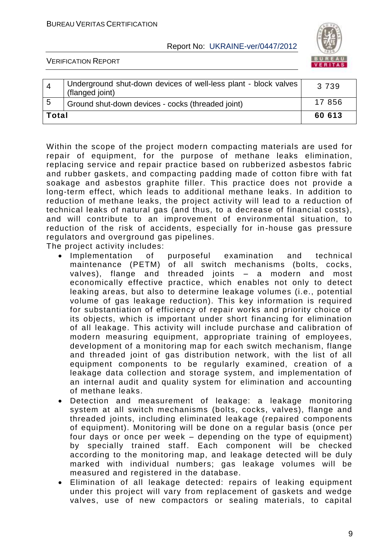

VERIFICATION REPORT

|       | Underground shut-down devices of well-less plant - block valves<br>(flanged joint) | 3 7 3 9 |
|-------|------------------------------------------------------------------------------------|---------|
| - 5   | Ground shut-down devices - cocks (threaded joint)                                  | 17856   |
| Total |                                                                                    | 60 613  |

Within the scope of the project modern compacting materials are used for repair of equipment, for the purpose of methane leaks elimination, replacing service and repair practice based on rubberized asbestos fabric and rubber gaskets, and compacting padding made of cotton fibre with fat soakage and asbestos graphite filler. This practice does not provide a long-term effect, which leads to additional methane leaks. In addition to reduction of methane leaks, the project activity will lead to a reduction of technical leaks of natural gas (and thus, to a decrease of financial costs), and will contribute to an improvement of environmental situation, to reduction of the risk of accidents, especially for in -house gas pressure regulators and overground gas pipelines.

The project activity includes:

- Implementation of purposeful examination and technical maintenance (PETM) of all switch mechanisms (bolts, cocks, valves), flange and threaded joints – a modern and most economically effective practice, which enables not only to detect leaking areas, but also to determine leakage volumes (i.e., potential volume of gas leakage reduction). This key information is required for substantiation of efficiency of repair works and priority choice of its objects, which is important under short financing for elimination of all leakage. This activity will include purchase and calibration of modern measuring equipment, appropriate training of employees, development of a monitoring map for each switch mechanism, flange and threaded joint of gas distribution network, with the list of all equipment components to be regularly examined, creation of a leakage data collection and storage system, and implementation of an internal audit and quality system for elimination and accounting of methane leaks.
- Detection and measurement of leakage: a leakage monitoring system at all switch mechanisms (bolts, cocks, valves), flange and threaded joints, including eliminated leakage (repaired components of equipment). Monitoring will be done on a regular basis (once per four days or once per week – depending on the type of equipment) by specially trained staff. Each component will be checked according to the monitoring map, and leakage detected will be duly marked with individual numbers; gas leakage volumes will be measured and registered in the database.
- Elimination of all leakage detected: repairs of leaking equipment under this project will vary from replacement of gaskets and wedge valves, use of new compactors or sealing materials, to capital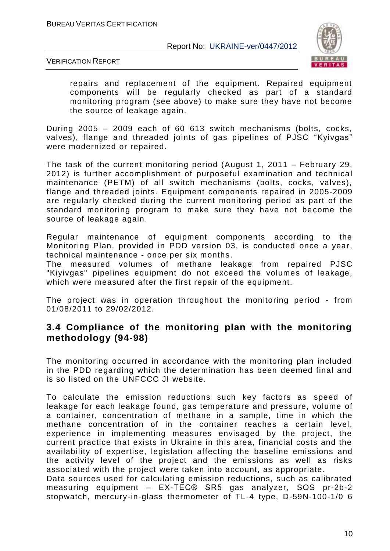

VERIFICATION REPORT

repairs and replacement of the equipment. Repaired equipment components will be regularly checked as part of a standard monitoring program (see above) to make sure they have not become the source of leakage again.

During 2005 – 2009 each of 60 613 switch mechanisms (bolts, cocks, valves), flange and threaded joints of gas pipelines of PJSC "Kyivgas" were modernized or repaired.

The task of the current monitoring period (August 1, 2011 – February 29, 2012) is further accomplishment of purposeful examination and technical maintenance (PETM) of all switch mechanisms (bolts, cocks, valves), flange and threaded joints. Equipment components repaired in 2005-2009 are regularly checked during the current monitoring period as part of the standard monitoring program to make sure they have not be come the source of leakage again.

Regular maintenance of equipment components according to the Monitoring Plan, provided in PDD version 03, is conducted once a year, technical maintenance - once per six months.

The measured volumes of methane leakage from repaired PJSC "Kiyivgas" pipelines equipment do not exceed the volumes of leakage, which were measured after the first repair of the equipment.

The project was in operation throughout the monitoring period - from 01/08/2011 to 29/02/2012.

## **3.4 Compliance of the monitoring plan with the monitoring methodology (94-98)**

The monitoring occurred in accordance with the monitoring plan included in the PDD regarding which the determination has been deemed final and is so listed on the UNFCCC JI website.

To calculate the emission reductions such key factors as speed of leakage for each leakage found, gas temperature and pressure, volume of a container, concentration of methane in a sample, time in which the methane concentration of in the container reaches a certain level, experience in implementing measures envisaged by the project, the current practice that exists in Ukraine in this area, financial costs and the availability of expertise, legislation affecting the baseline emissions and the activity level of the project and the emissions as well as risks associated with the project were taken into account, as appropriate. Data sources used for calculating emission reductions, such as calibrated measuring equipment – EX-TEC® SR5 gas analyzer, SOS pr-2b-2 stopwatch, mercury-in-glass thermometer of TL-4 type, D-59N-100-1/0 6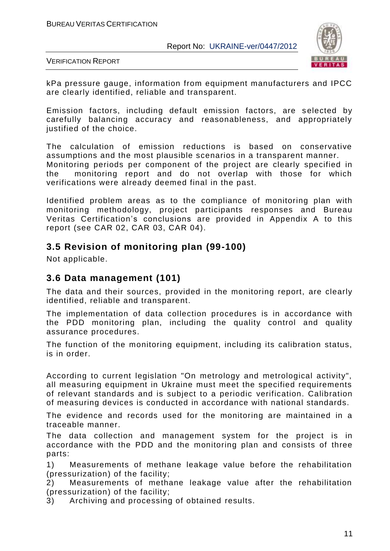

VERIFICATION REPORT

kPa pressure gauge, information from equipment manufacturers and IPCC are clearly identified, reliable and transparent.

Emission factors, including default emission factors, are selected by carefully balancing accuracy and reasonableness, and appropriately justified of the choice.

The calculation of emission reductions is based on conservative assumptions and the most plausible scenarios in a transparent manner. Monitoring periods per component of the project are clearly specified in the monitoring report and do not overlap with those for which verifications were already deemed final in the past.

Identified problem areas as to the compliance of monitoring plan with monitoring methodology, project participants responses and Bureau Veritas Certification's conclusions are provided in Appendix A to this report (see CAR 02, CAR 03, CAR 04).

## **3.5 Revision of monitoring plan (99-100)**

Not applicable.

## **3.6 Data management (101)**

The data and their sources, provided in the monitoring report, are clearly identified, reliable and transparent.

The implementation of data collection procedures is in accordance with the PDD monitoring plan, including the quality control and quality assurance procedures.

The function of the monitoring equipment, including its calibration status, is in order.

According to current legislation "On metrology and metrological activity", all measuring equipment in Ukraine must meet the specified requirements of relevant standards and is subject to a periodic verification. Calibration of measuring devices is conducted in accordance with national standards.

The evidence and records used for the monitoring are maintained in a traceable manner.

The data collection and management system for the project is in accordance with the PDD and the monitoring plan and consists of three parts:

1) Measurements of methane leakage value before the rehabilitation (pressurization) of the facility;

2) Measurements of methane leakage value after the rehabilitation (pressurization) of the facility;

3) Archiving and processing of obtained results.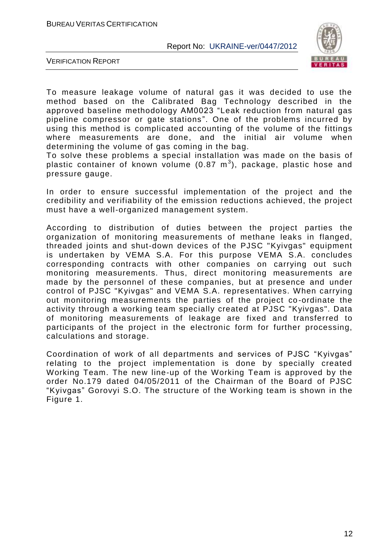

VERIFICATION REPORT

To measure leakage volume of natural gas it was decided to use the method based on the Calibrated Bag Technology described in the approved baseline methodology AM0023 "Leak reduction from natural gas pipeline compressor or gate stations". One of the problems incurred by using this method is complicated accounting of the volume of the fittings where measurements are done, and the initial air volume when determining the volume of gas coming in the bag.

To solve these problems a special installation was made on the basis of plastic container of known volume (0.87  $\textsf{m}^{3}$ ), package, plastic hose and pressure gauge.

In order to ensure successful implementation of the project and the credibility and verifiability of the emission reductions achieved, the project must have a well-organized management system.

According to distribution of duties between the project parties the organization of monitoring measurements of methane leaks in flanged, threaded joints and shut-down devices of the PJSC "Kyivgas" equipment is undertaken by VEMA S.A. For this purpose VEMA S.A. concludes corresponding contracts with other companies on carrying out such monitoring measurements. Thus, direct monitoring measurements are made by the personnel of these companies, but at presence and under control of PJSC "Kyivgas" and VEMA S.A. representatives. When carrying out monitoring measurements the parties of the project co -ordinate the activity through a working team specially created at PJSC "Kyivgas". Data of monitoring measurements of leakage are fixed and transferred to participants of the project in the electronic form for further processing, calculations and storage.

Coordination of work of all departments and services of PJSC "Kyivgas" relating to the project implementation is done by specially created Working Team. The new line-up of the Working Team is approved by the order No.179 dated 04/05/2011 of the Chairman of the Board of PJSC "Kyivgas" Gorovyi S.O. The structure of the Working team is shown in the Figure 1.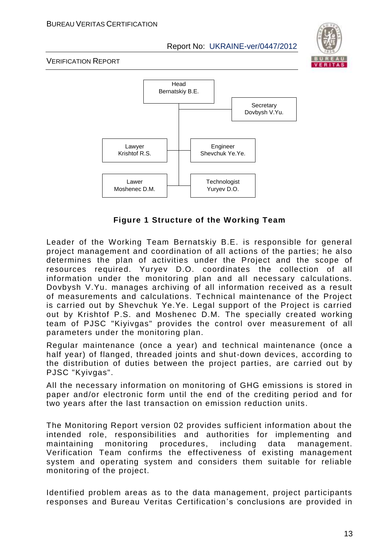

VERIFICATION REPORT



**Figure 1 Structure of the Working Team**

Leader of the Working Team Bernatskiy B.E. is responsible for general project management and coordination of all actions of the parties; he also determines the plan of activities under the Project and the scope of resources required. Yuryev D.O. coordinates the collection of all information under the monitoring plan and all necessary calculations. Dovbysh V.Yu. manages archiving of all information received as a result of measurements and calculations. Technical maintenance of the Project is carried out by Shevchuk Ye.Ye. Legal support of the Project is carried out by Krishtof P.S. and Moshenec D.M. The specially created working team of PJSC "Kiyivgas" provides the control over measurement of all parameters under the monitoring plan.

Regular maintenance (once a year) and technical maintenance (once a half year) of flanged, threaded joints and shut-down devices, according to the distribution of duties between the project parties, are carried out by PJSC "Kyivgas".

All the necessary information on monitoring of GHG emissions is stored in paper and/or electronic form until the end of the crediting period and for two years after the last transaction on emission reduction units.

The Monitoring Report version 02 provides sufficient information about the intended role, responsibilities and authorities for implementing and maintaining monitoring procedures, including data management. Verification Team confirms the effectiveness of existing management system and operating system and considers them suitable for reliable monitoring of the project.

Identified problem areas as to the data management, project participants responses and Bureau Veritas Certification's conclusions are provided in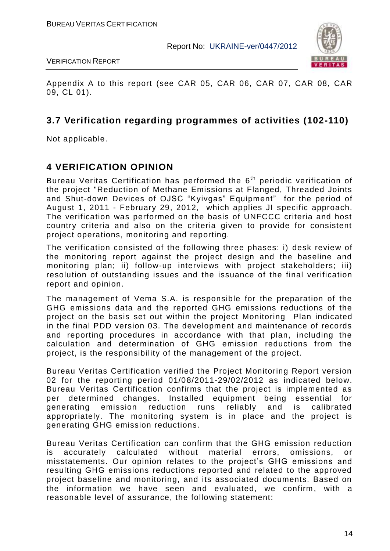

VERIFICATION REPORT

Appendix A to this report (see CAR 05, CAR 06, CAR 07, CAR 08, CAR 09, CL 01).

## **3.7 Verification regarding programmes of activities (102-110)**

Not applicable.

# **4 VERIFICATION OPINION**

Bureau Veritas Certification has performed the 6<sup>th</sup> periodic verification of the project "Reduction of Methane Emissions at Flanged, Threaded Joints and Shut-down Devices of OJSC "Kyivgas" Equipment" for the period of August 1, 2011 - February 29, 2012, which applies JI specific approach. The verification was performed on the basis of UNFCCC criteria and host country criteria and also on the criteria given to provide for consistent project operations, monitoring and reporting.

The verification consisted of the following three phases: i) desk review of the monitoring report against the project design and the baseline and monitoring plan; ii) follow-up interviews with project stakeholders; iii) resolution of outstanding issues and the issuance of the final verification report and opinion.

The management of Vema S.A. is responsible for the preparation of the GHG emissions data and the reported GHG emissions reductions of the project on the basis set out within the project Monitoring Plan indicated in the final PDD version 03. The development and maintenance of records and reporting procedures in accordance with that plan, including the calculation and determination of GHG emission reductions from the project, is the responsibility of the management of the project.

Bureau Veritas Certification verified the Project Monitoring Report version 02 for the reporting period 01/08/2011-29/02/2012 as indicated below. Bureau Veritas Certification confirms that the project is implemented as per determined changes. Installed equipment being essential for generating emission reduction runs reliably and is calibrated appropriately. The monitoring system is in place and the project is generating GHG emission reductions.

Bureau Veritas Certification can confirm that the GHG emission reduction is accurately calculated without material errors, omissions, or misstatements. Our opinion relates to the project's GHG emissions and resulting GHG emissions reductions reported and related to the approved project baseline and monitoring, and its associated documents. Based on the information we have seen and evaluated, we confirm, with a reasonable level of assurance, the following statement: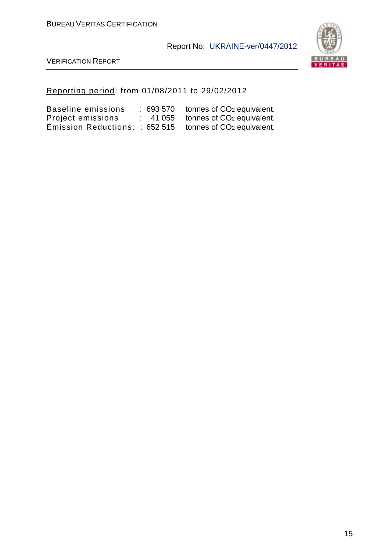

VERIFICATION REPORT

## Reporting period: from 01/08/2011 to 29/02/2012

| Baseline emissions            | :693570 | tonnes of CO <sub>2</sub> equivalent. |
|-------------------------------|---------|---------------------------------------|
| Project emissions             |         | 41 055 tonnes of $CO2$ equivalent.    |
| Emission Reductions:: 652 515 |         | tonnes of CO <sub>2</sub> equivalent. |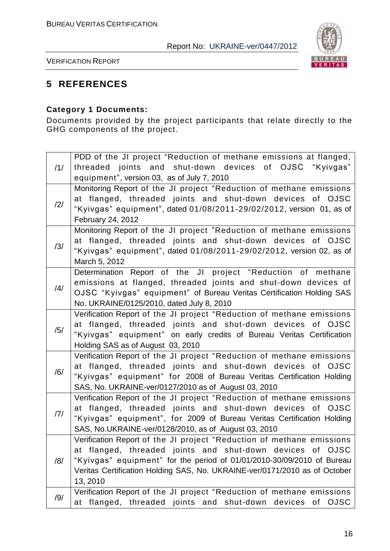

VERIFICATION REPORT

# **5 REFERENCES**

## **Category 1 Documents:**

Documents provided by the project participants that relate directly to the GHG components of the project.

| threaded joints and shut-down devices of OJSC "Kyivgas"<br>/1/<br>equipment", version 03, as of July 7, 2010<br>Monitoring Report of the JI project "Reduction of methane emissions<br>at flanged, threaded joints and shut-down devices of OJSC<br>/2/<br>"Kyivgas" equipment", dated 01/08/2011-29/02/2012, version 01, as of<br>February 24, 2012<br>Monitoring Report of the JI project "Reduction of methane emissions<br>at flanged, threaded joints and shut-down devices of OJSC<br>/3/<br>"Kyivgas" equipment", dated 01/08/2011-29/02/2012, version 02, as of<br>March 5, 2012<br>Determination Report of the JI project "Reduction of methane<br>emissions at flanged, threaded joints and shut-down devices of<br>/4/<br>OJSC "Kyivgas" equipment" of Bureau Veritas Certification Holding SAS<br>No. UKRAINE/0125/2010, dated July 8, 2010<br>Verification Report of the JI project "Reduction of methane emissions<br>at flanged, threaded joints and shut-down devices of OJSC<br>/5/<br>"Kyivgas" equipment" on early credits of Bureau Veritas Certification<br>Holding SAS as of August 03, 2010<br>Verification Report of the JI project "Reduction of methane emissions<br>at flanged, threaded joints and shut-down devices of OJSC<br>/6/<br>"Kyivgas" equipment" for 2008 of Bureau Veritas Certification Holding<br>SAS, No. UKRAINE-ver/0127/2010 as of August 03, 2010<br>Verification Report of the JI project "Reduction of methane emissions<br>at flanged, threaded joints and shut-down devices<br>of OJSC<br>/7/<br>"Kyivgas" equipment", for 2009 of Bureau Veritas Certification Holding<br>SAS, No.UKRAINE-ver/0128/2010, as of August 03, 2010<br>Verification Report of the JI project "Reduction of methane emissions<br>at flanged, threaded joints and shut-down devices of OJSC<br>"Kyivgas" equipment" for the period of 01/01/2010-30/09/2010 of Bureau<br>/8/<br>Veritas Certification Holding SAS, No. UKRAINE-ver/0171/2010 as of October<br>13, 2010 | PDD of the JI project "Reduction of methane emissions at flanged, |
|-----------------------------------------------------------------------------------------------------------------------------------------------------------------------------------------------------------------------------------------------------------------------------------------------------------------------------------------------------------------------------------------------------------------------------------------------------------------------------------------------------------------------------------------------------------------------------------------------------------------------------------------------------------------------------------------------------------------------------------------------------------------------------------------------------------------------------------------------------------------------------------------------------------------------------------------------------------------------------------------------------------------------------------------------------------------------------------------------------------------------------------------------------------------------------------------------------------------------------------------------------------------------------------------------------------------------------------------------------------------------------------------------------------------------------------------------------------------------------------------------------------------------------------------------------------------------------------------------------------------------------------------------------------------------------------------------------------------------------------------------------------------------------------------------------------------------------------------------------------------------------------------------------------------------------------------------------------------------------------------------------|-------------------------------------------------------------------|
|                                                                                                                                                                                                                                                                                                                                                                                                                                                                                                                                                                                                                                                                                                                                                                                                                                                                                                                                                                                                                                                                                                                                                                                                                                                                                                                                                                                                                                                                                                                                                                                                                                                                                                                                                                                                                                                                                                                                                                                                     |                                                                   |
|                                                                                                                                                                                                                                                                                                                                                                                                                                                                                                                                                                                                                                                                                                                                                                                                                                                                                                                                                                                                                                                                                                                                                                                                                                                                                                                                                                                                                                                                                                                                                                                                                                                                                                                                                                                                                                                                                                                                                                                                     |                                                                   |
|                                                                                                                                                                                                                                                                                                                                                                                                                                                                                                                                                                                                                                                                                                                                                                                                                                                                                                                                                                                                                                                                                                                                                                                                                                                                                                                                                                                                                                                                                                                                                                                                                                                                                                                                                                                                                                                                                                                                                                                                     |                                                                   |
|                                                                                                                                                                                                                                                                                                                                                                                                                                                                                                                                                                                                                                                                                                                                                                                                                                                                                                                                                                                                                                                                                                                                                                                                                                                                                                                                                                                                                                                                                                                                                                                                                                                                                                                                                                                                                                                                                                                                                                                                     |                                                                   |
|                                                                                                                                                                                                                                                                                                                                                                                                                                                                                                                                                                                                                                                                                                                                                                                                                                                                                                                                                                                                                                                                                                                                                                                                                                                                                                                                                                                                                                                                                                                                                                                                                                                                                                                                                                                                                                                                                                                                                                                                     |                                                                   |
|                                                                                                                                                                                                                                                                                                                                                                                                                                                                                                                                                                                                                                                                                                                                                                                                                                                                                                                                                                                                                                                                                                                                                                                                                                                                                                                                                                                                                                                                                                                                                                                                                                                                                                                                                                                                                                                                                                                                                                                                     |                                                                   |
|                                                                                                                                                                                                                                                                                                                                                                                                                                                                                                                                                                                                                                                                                                                                                                                                                                                                                                                                                                                                                                                                                                                                                                                                                                                                                                                                                                                                                                                                                                                                                                                                                                                                                                                                                                                                                                                                                                                                                                                                     |                                                                   |
|                                                                                                                                                                                                                                                                                                                                                                                                                                                                                                                                                                                                                                                                                                                                                                                                                                                                                                                                                                                                                                                                                                                                                                                                                                                                                                                                                                                                                                                                                                                                                                                                                                                                                                                                                                                                                                                                                                                                                                                                     |                                                                   |
|                                                                                                                                                                                                                                                                                                                                                                                                                                                                                                                                                                                                                                                                                                                                                                                                                                                                                                                                                                                                                                                                                                                                                                                                                                                                                                                                                                                                                                                                                                                                                                                                                                                                                                                                                                                                                                                                                                                                                                                                     |                                                                   |
|                                                                                                                                                                                                                                                                                                                                                                                                                                                                                                                                                                                                                                                                                                                                                                                                                                                                                                                                                                                                                                                                                                                                                                                                                                                                                                                                                                                                                                                                                                                                                                                                                                                                                                                                                                                                                                                                                                                                                                                                     |                                                                   |
|                                                                                                                                                                                                                                                                                                                                                                                                                                                                                                                                                                                                                                                                                                                                                                                                                                                                                                                                                                                                                                                                                                                                                                                                                                                                                                                                                                                                                                                                                                                                                                                                                                                                                                                                                                                                                                                                                                                                                                                                     |                                                                   |
|                                                                                                                                                                                                                                                                                                                                                                                                                                                                                                                                                                                                                                                                                                                                                                                                                                                                                                                                                                                                                                                                                                                                                                                                                                                                                                                                                                                                                                                                                                                                                                                                                                                                                                                                                                                                                                                                                                                                                                                                     |                                                                   |
|                                                                                                                                                                                                                                                                                                                                                                                                                                                                                                                                                                                                                                                                                                                                                                                                                                                                                                                                                                                                                                                                                                                                                                                                                                                                                                                                                                                                                                                                                                                                                                                                                                                                                                                                                                                                                                                                                                                                                                                                     |                                                                   |
|                                                                                                                                                                                                                                                                                                                                                                                                                                                                                                                                                                                                                                                                                                                                                                                                                                                                                                                                                                                                                                                                                                                                                                                                                                                                                                                                                                                                                                                                                                                                                                                                                                                                                                                                                                                                                                                                                                                                                                                                     |                                                                   |
|                                                                                                                                                                                                                                                                                                                                                                                                                                                                                                                                                                                                                                                                                                                                                                                                                                                                                                                                                                                                                                                                                                                                                                                                                                                                                                                                                                                                                                                                                                                                                                                                                                                                                                                                                                                                                                                                                                                                                                                                     |                                                                   |
|                                                                                                                                                                                                                                                                                                                                                                                                                                                                                                                                                                                                                                                                                                                                                                                                                                                                                                                                                                                                                                                                                                                                                                                                                                                                                                                                                                                                                                                                                                                                                                                                                                                                                                                                                                                                                                                                                                                                                                                                     |                                                                   |
|                                                                                                                                                                                                                                                                                                                                                                                                                                                                                                                                                                                                                                                                                                                                                                                                                                                                                                                                                                                                                                                                                                                                                                                                                                                                                                                                                                                                                                                                                                                                                                                                                                                                                                                                                                                                                                                                                                                                                                                                     |                                                                   |
|                                                                                                                                                                                                                                                                                                                                                                                                                                                                                                                                                                                                                                                                                                                                                                                                                                                                                                                                                                                                                                                                                                                                                                                                                                                                                                                                                                                                                                                                                                                                                                                                                                                                                                                                                                                                                                                                                                                                                                                                     |                                                                   |
|                                                                                                                                                                                                                                                                                                                                                                                                                                                                                                                                                                                                                                                                                                                                                                                                                                                                                                                                                                                                                                                                                                                                                                                                                                                                                                                                                                                                                                                                                                                                                                                                                                                                                                                                                                                                                                                                                                                                                                                                     |                                                                   |
|                                                                                                                                                                                                                                                                                                                                                                                                                                                                                                                                                                                                                                                                                                                                                                                                                                                                                                                                                                                                                                                                                                                                                                                                                                                                                                                                                                                                                                                                                                                                                                                                                                                                                                                                                                                                                                                                                                                                                                                                     |                                                                   |
|                                                                                                                                                                                                                                                                                                                                                                                                                                                                                                                                                                                                                                                                                                                                                                                                                                                                                                                                                                                                                                                                                                                                                                                                                                                                                                                                                                                                                                                                                                                                                                                                                                                                                                                                                                                                                                                                                                                                                                                                     |                                                                   |
|                                                                                                                                                                                                                                                                                                                                                                                                                                                                                                                                                                                                                                                                                                                                                                                                                                                                                                                                                                                                                                                                                                                                                                                                                                                                                                                                                                                                                                                                                                                                                                                                                                                                                                                                                                                                                                                                                                                                                                                                     |                                                                   |
|                                                                                                                                                                                                                                                                                                                                                                                                                                                                                                                                                                                                                                                                                                                                                                                                                                                                                                                                                                                                                                                                                                                                                                                                                                                                                                                                                                                                                                                                                                                                                                                                                                                                                                                                                                                                                                                                                                                                                                                                     |                                                                   |
|                                                                                                                                                                                                                                                                                                                                                                                                                                                                                                                                                                                                                                                                                                                                                                                                                                                                                                                                                                                                                                                                                                                                                                                                                                                                                                                                                                                                                                                                                                                                                                                                                                                                                                                                                                                                                                                                                                                                                                                                     |                                                                   |
|                                                                                                                                                                                                                                                                                                                                                                                                                                                                                                                                                                                                                                                                                                                                                                                                                                                                                                                                                                                                                                                                                                                                                                                                                                                                                                                                                                                                                                                                                                                                                                                                                                                                                                                                                                                                                                                                                                                                                                                                     |                                                                   |
|                                                                                                                                                                                                                                                                                                                                                                                                                                                                                                                                                                                                                                                                                                                                                                                                                                                                                                                                                                                                                                                                                                                                                                                                                                                                                                                                                                                                                                                                                                                                                                                                                                                                                                                                                                                                                                                                                                                                                                                                     |                                                                   |
|                                                                                                                                                                                                                                                                                                                                                                                                                                                                                                                                                                                                                                                                                                                                                                                                                                                                                                                                                                                                                                                                                                                                                                                                                                                                                                                                                                                                                                                                                                                                                                                                                                                                                                                                                                                                                                                                                                                                                                                                     |                                                                   |
|                                                                                                                                                                                                                                                                                                                                                                                                                                                                                                                                                                                                                                                                                                                                                                                                                                                                                                                                                                                                                                                                                                                                                                                                                                                                                                                                                                                                                                                                                                                                                                                                                                                                                                                                                                                                                                                                                                                                                                                                     |                                                                   |
|                                                                                                                                                                                                                                                                                                                                                                                                                                                                                                                                                                                                                                                                                                                                                                                                                                                                                                                                                                                                                                                                                                                                                                                                                                                                                                                                                                                                                                                                                                                                                                                                                                                                                                                                                                                                                                                                                                                                                                                                     |                                                                   |
|                                                                                                                                                                                                                                                                                                                                                                                                                                                                                                                                                                                                                                                                                                                                                                                                                                                                                                                                                                                                                                                                                                                                                                                                                                                                                                                                                                                                                                                                                                                                                                                                                                                                                                                                                                                                                                                                                                                                                                                                     |                                                                   |
|                                                                                                                                                                                                                                                                                                                                                                                                                                                                                                                                                                                                                                                                                                                                                                                                                                                                                                                                                                                                                                                                                                                                                                                                                                                                                                                                                                                                                                                                                                                                                                                                                                                                                                                                                                                                                                                                                                                                                                                                     |                                                                   |
| Verification Report of the JI project "Reduction of methane emissions                                                                                                                                                                                                                                                                                                                                                                                                                                                                                                                                                                                                                                                                                                                                                                                                                                                                                                                                                                                                                                                                                                                                                                                                                                                                                                                                                                                                                                                                                                                                                                                                                                                                                                                                                                                                                                                                                                                               |                                                                   |
| /9/<br>at flanged, threaded joints and shut-down devices<br><b>OJSC</b><br>of                                                                                                                                                                                                                                                                                                                                                                                                                                                                                                                                                                                                                                                                                                                                                                                                                                                                                                                                                                                                                                                                                                                                                                                                                                                                                                                                                                                                                                                                                                                                                                                                                                                                                                                                                                                                                                                                                                                       |                                                                   |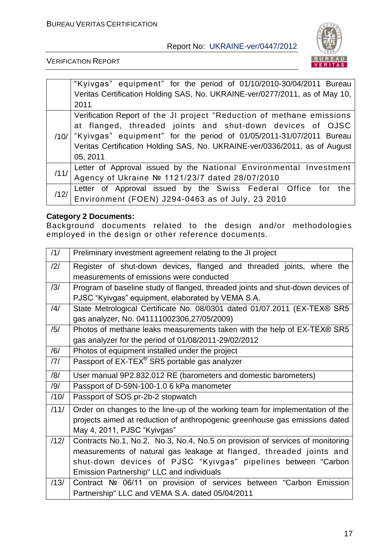

VERIFICATION REPORT

|      | "Kyivgas" equipment" for the period of 01/10/2010-30/04/2011 Bureau                                                  |
|------|----------------------------------------------------------------------------------------------------------------------|
|      | Veritas Certification Holding SAS, No. UKRAINE-ver/0277/2011, as of May 10,                                          |
|      | 2011                                                                                                                 |
|      | Verification Report of the JI project "Reduction of methane emissions                                                |
|      | at flanged, threaded joints and shut-down devices of OJSC                                                            |
|      | $/10/$ "Kyivgas" equipment" for the period of 01/05/2011-31/07/2011 Bureau                                           |
|      | Veritas Certification Holding SAS, No. UKRAINE-ver/0336/2011, as of August                                           |
|      | 05, 2011                                                                                                             |
| /11/ | Letter of Approval issued by the National Environmental Investment<br>Agency of Ukraine № 1121/23/7 dated 28/07/2010 |
|      |                                                                                                                      |
| /12/ | Letter of Approval issued by the Swiss Federal Office for the                                                        |
|      | Environment (FOEN) J294-0463 as of July, 23 2010                                                                     |

## **Category 2 Documents:**

Background documents related to the design and/or methodologies employed in the design or other reference documents.

| /1/  | Preliminary investment agreement relating to the JI project                    |
|------|--------------------------------------------------------------------------------|
| /2/  | Register of shut-down devices, flanged and threaded joints, where the          |
|      | measurements of emissions were conducted                                       |
| /3/  | Program of baseline study of flanged, threaded joints and shut-down devices of |
|      | PJSC "Kyivgas" equipment, elaborated by VEMA S.A.                              |
| /4/  | State Metrological Certificate No. 08/0301 dated 01/07.2011 (EX-TEX® SR5       |
|      | gas analyzer, No. 041111002306,27/05/2009)                                     |
| /5/  | Photos of methane leaks measurements taken with the help of EX-TEX® SR5        |
|      | gas analyzer for the period of 01/08/2011-29/02/2012                           |
| /6/  | Photos of equipment installed under the project                                |
| /7/  | Passport of EX-TEX <sup>®</sup> SR5 portable gas analyzer                      |
| /8/  | User manual 9P2.832.012 RE (barometers and domestic barometers)                |
| /9/  | Passport of D-59N-100-1.0 6 kPa manometer                                      |
| /10/ | Passport of SOS pr-2b-2 stopwatch                                              |
| /11/ | Order on changes to the line-up of the working team for implementation of the  |
|      | projects aimed at reduction of anthropogenic greenhouse gas emissions dated    |
|      | May 4, 2011, PJSC "Kyivgas"                                                    |
| /12/ | Contracts No.1, No.2, No.3, No.4, No.5 on provision of services of monitoring  |
|      | measurements of natural gas leakage at flanged, threaded joints and            |
|      | shut-down devices of PJSC "Kyivgas" pipelines between "Carbon                  |
|      | Emission Partnership" LLC and individuals                                      |
| /13/ | Contract Nº 06/11 on provision of services between "Carbon Emission            |
|      | Partnership" LLC and VEMA S.A. dated 05/04/2011                                |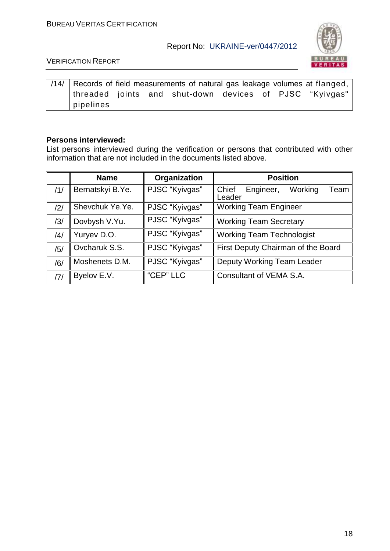

VERIFICATION REPORT

|               |  | /14/ Records of field measurements of natural gas leakage volumes at flanged, $\vert$ |  |  |
|---------------|--|---------------------------------------------------------------------------------------|--|--|
|               |  | threaded joints and shut-down devices of PJSC "Kyivgas"                               |  |  |
| $ $ pipelines |  |                                                                                       |  |  |

#### **Persons interviewed:**

List persons interviewed during the verification or persons that contributed with other information that are not included in the documents listed above.

|     | <b>Name</b>      | Organization   | <b>Position</b>                                 |  |  |
|-----|------------------|----------------|-------------------------------------------------|--|--|
| /1/ | Bernatskyi B.Ye. | PJSC "Kyivgas" | Chief<br>Engineer,<br>Working<br>Team<br>Leader |  |  |
| /2/ | Shevchuk Ye.Ye.  | PJSC "Kyivgas" | <b>Working Team Engineer</b>                    |  |  |
| /3/ | Dovbysh V.Yu.    | PJSC "Kyivgas" | <b>Working Team Secretary</b>                   |  |  |
| /4/ | Yuryev D.O.      | PJSC "Kyivgas" | <b>Working Team Technologist</b>                |  |  |
| /5/ | Ovcharuk S.S.    | PJSC "Kyivgas" | First Deputy Chairman of the Board              |  |  |
| /6/ | Moshenets D.M.   | PJSC "Kyivgas" | Deputy Working Team Leader                      |  |  |
| 7   | Byelov E.V.      | "CEP" LLC      | Consultant of VEMA S.A.                         |  |  |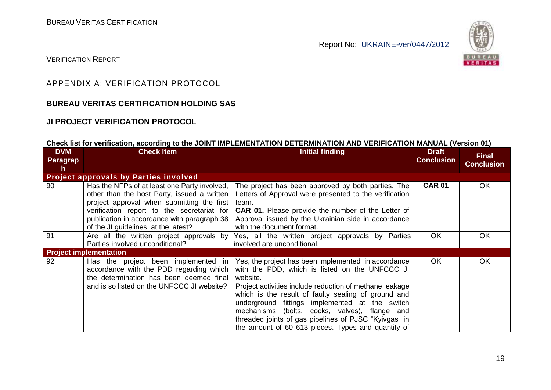

#### VERIFICATION REPORT

## APPENDIX A: VERIFICATION PROTOCOL

## **BUREAU VERITAS CERTIFICATION HOLDING SAS**

## **JI PROJECT VERIFICATION PROTOCOL**

#### **Check list for verification, according to the JOINT IMPLEMENTATION DETERMINATION AND VERIFICATION MANUAL (Version 01)**

| <b>DVM</b><br>Paragrap<br>h | <b>Check Item</b>                                                                                                                                                                                                                                                              | <b>Initial finding</b>                                                                                                                                                                                                                                                                                                                                                                                                                                   | <b>Draft</b><br><b>Conclusion</b> | <b>Final</b><br><b>Conclusion</b> |
|-----------------------------|--------------------------------------------------------------------------------------------------------------------------------------------------------------------------------------------------------------------------------------------------------------------------------|----------------------------------------------------------------------------------------------------------------------------------------------------------------------------------------------------------------------------------------------------------------------------------------------------------------------------------------------------------------------------------------------------------------------------------------------------------|-----------------------------------|-----------------------------------|
|                             | <b>Project approvals by Parties involved</b>                                                                                                                                                                                                                                   |                                                                                                                                                                                                                                                                                                                                                                                                                                                          |                                   |                                   |
| 90                          | Has the NFPs of at least one Party involved,<br>other than the host Party, issued a written<br>project approval when submitting the first<br>verification report to the secretariat for<br>publication in accordance with paragraph 38<br>of the JI guidelines, at the latest? | The project has been approved by both parties. The<br>Letters of Approval were presented to the verification<br>team.<br><b>CAR 01.</b> Please provide the number of the Letter of<br>Approval issued by the Ukrainian side in accordance<br>with the document format.                                                                                                                                                                                   | <b>CAR 01</b>                     | <b>OK</b>                         |
| 91                          | Are all the written project approvals by<br>Parties involved unconditional?                                                                                                                                                                                                    | Yes, all the written project approvals by Parties<br>involved are unconditional.                                                                                                                                                                                                                                                                                                                                                                         | <b>OK</b>                         | <b>OK</b>                         |
|                             | <b>Project implementation</b>                                                                                                                                                                                                                                                  |                                                                                                                                                                                                                                                                                                                                                                                                                                                          |                                   |                                   |
| 92                          | Has the project been implemented in<br>accordance with the PDD regarding which<br>the determination has been deemed final<br>and is so listed on the UNFCCC JI website?                                                                                                        | Yes, the project has been implemented in accordance<br>with the PDD, which is listed on the UNFCCC JI<br>website.<br>Project activities include reduction of methane leakage<br>which is the result of faulty sealing of ground and<br>fittings implemented at the switch<br>underground<br>mechanisms (bolts, cocks, valves), flange and<br>threaded joints of gas pipelines of PJSC "Kyivgas" in<br>the amount of 60 613 pieces. Types and quantity of | OK.                               | <b>OK</b>                         |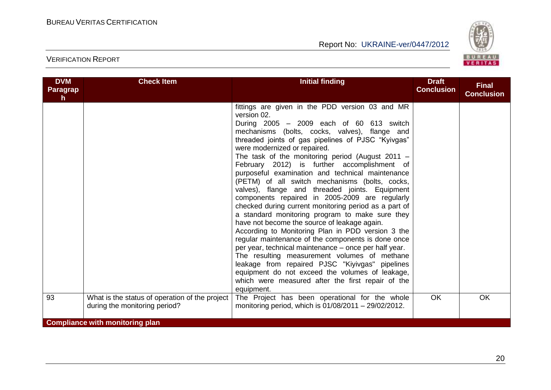

| <b>DVM</b><br>Paragrap<br>$\mathsf{h}$ | <b>Check Item</b>                                                                                                         | <b>Initial finding</b>                                                                                                                                                                                                                                                                                                                                                                                                                                                                                                                                                                                                                                                                                                                                                                                                                                                                                                                                                                                                                                                                                                    | <b>Draft</b><br><b>Conclusion</b> | <b>Final</b><br><b>Conclusion</b> |
|----------------------------------------|---------------------------------------------------------------------------------------------------------------------------|---------------------------------------------------------------------------------------------------------------------------------------------------------------------------------------------------------------------------------------------------------------------------------------------------------------------------------------------------------------------------------------------------------------------------------------------------------------------------------------------------------------------------------------------------------------------------------------------------------------------------------------------------------------------------------------------------------------------------------------------------------------------------------------------------------------------------------------------------------------------------------------------------------------------------------------------------------------------------------------------------------------------------------------------------------------------------------------------------------------------------|-----------------------------------|-----------------------------------|
|                                        |                                                                                                                           | fittings are given in the PDD version 03 and MR<br>version 02.<br>During 2005 - 2009 each of 60 613 switch<br>mechanisms (bolts, cocks, valves), flange and<br>threaded joints of gas pipelines of PJSC "Kyivgas"<br>were modernized or repaired.<br>The task of the monitoring period (August 2011 $-$<br>February 2012) is further accomplishment of<br>purposeful examination and technical maintenance<br>(PETM) of all switch mechanisms (bolts, cocks,<br>valves), flange and threaded joints. Equipment<br>components repaired in 2005-2009 are regularly<br>checked during current monitoring period as a part of<br>a standard monitoring program to make sure they<br>have not become the source of leakage again.<br>According to Monitoring Plan in PDD version 3 the<br>regular maintenance of the components is done once<br>per year, technical maintenance – once per half year.<br>The resulting measurement volumes of methane<br>leakage from repaired PJSC "Kiyivgas" pipelines<br>equipment do not exceed the volumes of leakage,<br>which were measured after the first repair of the<br>equipment. |                                   |                                   |
| 93                                     | What is the status of operation of the project<br>during the monitoring period?<br><b>Compliance with monitoring plan</b> | The Project has been operational for the whole<br>monitoring period, which is 01/08/2011 - 29/02/2012.                                                                                                                                                                                                                                                                                                                                                                                                                                                                                                                                                                                                                                                                                                                                                                                                                                                                                                                                                                                                                    | <b>OK</b>                         | OK                                |
|                                        |                                                                                                                           |                                                                                                                                                                                                                                                                                                                                                                                                                                                                                                                                                                                                                                                                                                                                                                                                                                                                                                                                                                                                                                                                                                                           |                                   |                                   |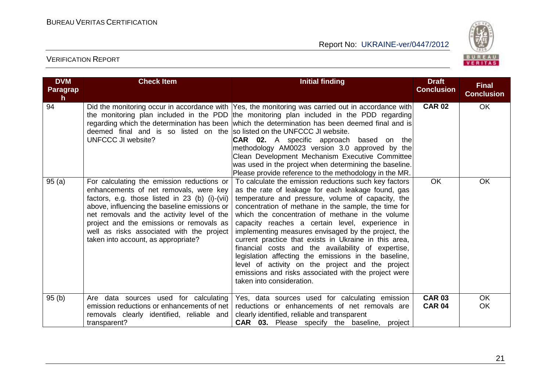

| <b>DVM</b><br><b>Paragrap</b><br>h. | <b>Check Item</b>                                                                                                                                                                                                                                                                                                                                                    | <b>Initial finding</b>                                                                                                                                                                                                                                                                                                                                                                                                                                                                                                                                                                                                                                                                                 | <b>Draft</b><br><b>Conclusion</b> | <b>Final</b><br><b>Conclusion</b> |
|-------------------------------------|----------------------------------------------------------------------------------------------------------------------------------------------------------------------------------------------------------------------------------------------------------------------------------------------------------------------------------------------------------------------|--------------------------------------------------------------------------------------------------------------------------------------------------------------------------------------------------------------------------------------------------------------------------------------------------------------------------------------------------------------------------------------------------------------------------------------------------------------------------------------------------------------------------------------------------------------------------------------------------------------------------------------------------------------------------------------------------------|-----------------------------------|-----------------------------------|
| 94                                  | deemed final and is so listed on the so listed on the UNFCCC JI website.<br>UNFCCC JI website?                                                                                                                                                                                                                                                                       | Did the monitoring occur in accordance with Yes, the monitoring was carried out in accordance with<br>the monitoring plan included in the PDD the monitoring plan included in the PDD regarding<br>regarding which the determination has been which the determination has been deemed final and is<br><b>CAR 02.</b> A specific approach based on the<br>methodology AM0023 version 3.0 approved by the<br>Clean Development Mechanism Executive Committee<br>was used in the project when determining the baseline.<br>Please provide reference to the methodology in the MR.                                                                                                                         | <b>CAR 02</b>                     | OK                                |
| 95(a)                               | For calculating the emission reductions or<br>enhancements of net removals, were key<br>factors, e.g. those listed in 23 (b) (i)-(vii)<br>above, influencing the baseline emissions or<br>net removals and the activity level of the<br>project and the emissions or removals as<br>well as risks associated with the project<br>taken into account, as appropriate? | To calculate the emission reductions such key factors<br>as the rate of leakage for each leakage found, gas<br>temperature and pressure, volume of capacity, the<br>concentration of methane in the sample, the time for<br>which the concentration of methane in the volume<br>capacity reaches a certain level, experience in<br>implementing measures envisaged by the project, the<br>current practice that exists in Ukraine in this area,<br>financial costs and the availability of expertise,<br>legislation affecting the emissions in the baseline,<br>level of activity on the project and the project<br>emissions and risks associated with the project were<br>taken into consideration. | <b>OK</b>                         | <b>OK</b>                         |
| 95(b)                               | Are data sources used for calculating<br>emission reductions or enhancements of net<br>removals clearly identified, reliable and<br>transparent?                                                                                                                                                                                                                     | Yes, data sources used for calculating emission<br>reductions or enhancements of net removals are<br>clearly identified, reliable and transparent<br><b>CAR 03.</b> Please specify the baseline, project                                                                                                                                                                                                                                                                                                                                                                                                                                                                                               | <b>CAR 03</b><br><b>CAR 04</b>    | <b>OK</b><br>OK                   |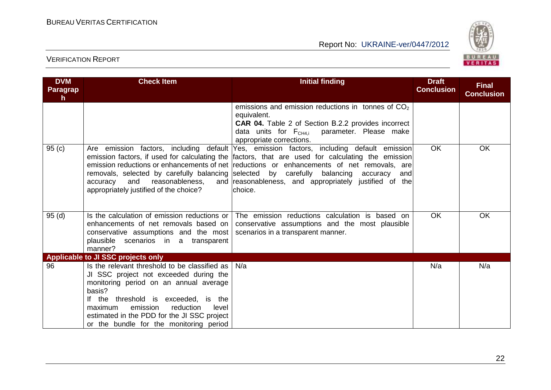

| <b>DVM</b><br>Paragrap<br>h. | <b>Check Item</b>                                                                                                                                                                                                                                                                                                          | <b>Initial finding</b>                                                                                                                                                                                                                                                                                                                                                                | <b>Draft</b><br><b>Conclusion</b> | <b>Final</b><br><b>Conclusion</b> |
|------------------------------|----------------------------------------------------------------------------------------------------------------------------------------------------------------------------------------------------------------------------------------------------------------------------------------------------------------------------|---------------------------------------------------------------------------------------------------------------------------------------------------------------------------------------------------------------------------------------------------------------------------------------------------------------------------------------------------------------------------------------|-----------------------------------|-----------------------------------|
|                              |                                                                                                                                                                                                                                                                                                                            | emissions and emission reductions in tonnes of $CO2$<br>equivalent.<br><b>CAR 04.</b> Table 2 of Section B.2.2 provides incorrect<br>data units for $F_{CH4,i}$ parameter. Please make<br>appropriate corrections.                                                                                                                                                                    |                                   |                                   |
| 95(c)                        | removals, selected by carefully balancing selected by carefully balancing<br>and<br>accuracy<br>reasonableness,<br>appropriately justified of the choice?                                                                                                                                                                  | Are emission factors, including default Yes, emission factors, including default emission<br>emission factors, if used for calculating the factors, that are used for calculating the emission<br>emission reductions or enhancements of net reductions or enhancements of net removals, are<br>accuracy<br>andl<br>and reasonableness, and appropriately justified of the<br>choice. | <b>OK</b>                         | <b>OK</b>                         |
| 95(d)                        | Is the calculation of emission reductions or<br>enhancements of net removals based on<br>conservative assumptions and the most<br>plausible scenarios in a transparent<br>manner?                                                                                                                                          | The emission reductions calculation is based on<br>conservative assumptions and the most plausible<br>scenarios in a transparent manner.                                                                                                                                                                                                                                              | OK.                               | <b>OK</b>                         |
|                              | Applicable to JI SSC projects only                                                                                                                                                                                                                                                                                         |                                                                                                                                                                                                                                                                                                                                                                                       |                                   |                                   |
| 96                           | Is the relevant threshold to be classified as<br>JI SSC project not exceeded during the<br>monitoring period on an annual average<br>basis?<br>If the threshold is exceeded, is the<br>emission<br>reduction<br>maximum<br>level<br>estimated in the PDD for the JI SSC project<br>or the bundle for the monitoring period | N/a                                                                                                                                                                                                                                                                                                                                                                                   | N/a                               | N/a                               |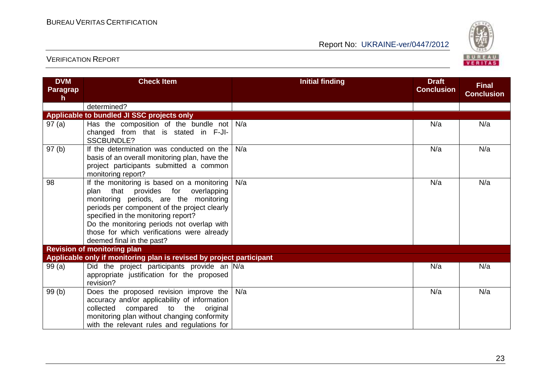

| <b>DVM</b><br><b>Paragrap</b><br>$\mathsf{h}$ | <b>Check Item</b>                                                                                                                                                                                                                                                                                                                                | <b>Initial finding</b> | <b>Draft</b><br><b>Conclusion</b> | <b>Final</b><br><b>Conclusion</b> |
|-----------------------------------------------|--------------------------------------------------------------------------------------------------------------------------------------------------------------------------------------------------------------------------------------------------------------------------------------------------------------------------------------------------|------------------------|-----------------------------------|-----------------------------------|
|                                               | determined?                                                                                                                                                                                                                                                                                                                                      |                        |                                   |                                   |
|                                               | Applicable to bundled JI SSC projects only                                                                                                                                                                                                                                                                                                       |                        |                                   |                                   |
| 97(a)                                         | Has the composition of the bundle not $\vert$ N/a<br>changed from that is stated in F-JI-<br><b>SSCBUNDLE?</b>                                                                                                                                                                                                                                   |                        | N/a                               | N/a                               |
| 97(b)                                         | If the determination was conducted on the<br>basis of an overall monitoring plan, have the<br>project participants submitted a common<br>monitoring report?                                                                                                                                                                                      | N/a                    | N/a                               | N/a                               |
| 98                                            | If the monitoring is based on a monitoring<br>provides for<br>plan that<br>overlapping<br>monitoring periods, are the monitoring<br>periods per component of the project clearly<br>specified in the monitoring report?<br>Do the monitoring periods not overlap with<br>those for which verifications were already<br>deemed final in the past? | N/a                    | N/a                               | N/a                               |
|                                               | <b>Revision of monitoring plan</b>                                                                                                                                                                                                                                                                                                               |                        |                                   |                                   |
|                                               | Applicable only if monitoring plan is revised by project participant                                                                                                                                                                                                                                                                             |                        |                                   |                                   |
| 99(a)                                         | Did the project participants provide an N/a<br>appropriate justification for the proposed<br>revision?                                                                                                                                                                                                                                           |                        | N/a                               | N/a                               |
| 99(b)                                         | Does the proposed revision improve the<br>accuracy and/or applicability of information<br>collected compared to the original<br>monitoring plan without changing conformity<br>with the relevant rules and regulations for                                                                                                                       | N/a                    | N/a                               | N/a                               |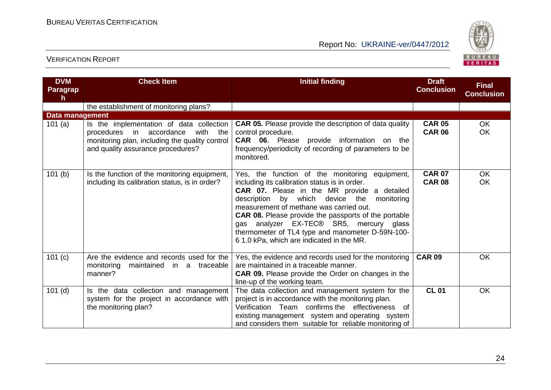

| <b>DVM</b><br><b>Paragrap</b><br>h. | <b>Check Item</b>                                                                                                                                                       | <b>Initial finding</b>                                                                                                                                                                                                                                                                                                                                                                                                                                         | <b>Draft</b><br><b>Conclusion</b> | <b>Final</b><br><b>Conclusion</b> |
|-------------------------------------|-------------------------------------------------------------------------------------------------------------------------------------------------------------------------|----------------------------------------------------------------------------------------------------------------------------------------------------------------------------------------------------------------------------------------------------------------------------------------------------------------------------------------------------------------------------------------------------------------------------------------------------------------|-----------------------------------|-----------------------------------|
|                                     | the establishment of monitoring plans?                                                                                                                                  |                                                                                                                                                                                                                                                                                                                                                                                                                                                                |                                   |                                   |
| Data management                     |                                                                                                                                                                         |                                                                                                                                                                                                                                                                                                                                                                                                                                                                |                                   |                                   |
| 101(a)                              | Is the implementation of data collection<br>procedures in accordance<br>with the<br>monitoring plan, including the quality control<br>and quality assurance procedures? | <b>CAR 05.</b> Please provide the description of data quality<br>control procedure.<br><b>CAR 06.</b> Please provide information on the<br>frequency/periodicity of recording of parameters to be<br>monitored.                                                                                                                                                                                                                                                | <b>CAR 05</b><br><b>CAR 06</b>    | <b>OK</b><br><b>OK</b>            |
| 101(b)                              | Is the function of the monitoring equipment,<br>including its calibration status, is in order?                                                                          | Yes, the function of the monitoring equipment,<br>including its calibration status is in order.<br><b>CAR 07.</b> Please in the MR provide a detailed<br>description<br>by which device the<br>monitoring<br>measurement of methane was carried out.<br><b>CAR 08.</b> Please provide the passports of the portable<br>gas analyzer EX-TEC® SR5, mercury glass<br>thermometer of TL4 type and manometer D-59N-100-<br>61.0 kPa, which are indicated in the MR. | <b>CAR 07</b><br><b>CAR 08</b>    | <b>OK</b><br><b>OK</b>            |
| 101 (c)                             | Are the evidence and records used for the<br>monitoring<br>maintained in a traceable<br>manner?                                                                         | Yes, the evidence and records used for the monitoring<br>are maintained in a traceable manner.<br><b>CAR 09.</b> Please provide the Order on changes in the<br>line-up of the working team.                                                                                                                                                                                                                                                                    | <b>CAR 09</b>                     | OK                                |
| $101$ (d)                           | Is the data collection and management<br>system for the project in accordance with<br>the monitoring plan?                                                              | The data collection and management system for the<br>project is in accordance with the monitoring plan.<br>Verification Team confirms the effectiveness of<br>existing management system and operating system<br>and considers them suitable for reliable monitoring of                                                                                                                                                                                        | <b>CL 01</b>                      | OK                                |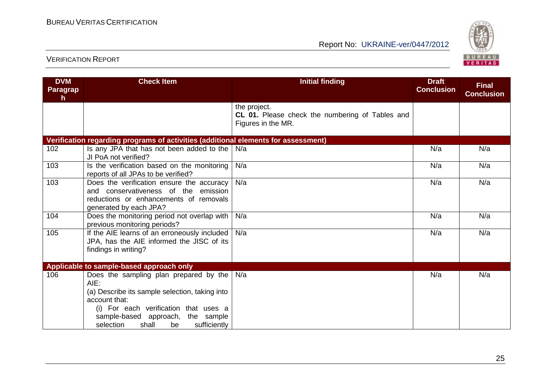

| <b>DVM</b><br><b>Paragrap</b><br>h. | <b>Check Item</b>                                                                                                                                                                                                                           | <b>Initial finding</b>                                                                | <b>Draft</b><br><b>Conclusion</b> | <b>Final</b><br><b>Conclusion</b> |
|-------------------------------------|---------------------------------------------------------------------------------------------------------------------------------------------------------------------------------------------------------------------------------------------|---------------------------------------------------------------------------------------|-----------------------------------|-----------------------------------|
|                                     |                                                                                                                                                                                                                                             | the project.<br>CL 01. Please check the numbering of Tables and<br>Figures in the MR. |                                   |                                   |
|                                     | Verification regarding programs of activities (additional elements for assessment)                                                                                                                                                          |                                                                                       |                                   |                                   |
| 102                                 | Is any JPA that has not been added to the<br>JI PoA not verified?                                                                                                                                                                           | N/a                                                                                   | N/a                               | N/a                               |
| 103                                 | Is the verification based on the monitoring<br>reports of all JPAs to be verified?                                                                                                                                                          | N/a                                                                                   | N/a                               | N/a                               |
| 103                                 | Does the verification ensure the accuracy<br>and conservativeness of the emission<br>reductions or enhancements of removals<br>generated by each JPA?                                                                                       | N/a                                                                                   | N/a                               | N/a                               |
| 104                                 | Does the monitoring period not overlap with<br>previous monitoring periods?                                                                                                                                                                 | N/a                                                                                   | N/a                               | N/a                               |
| 105                                 | If the AIE learns of an erroneously included<br>JPA, has the AIE informed the JISC of its<br>findings in writing?                                                                                                                           | N/a                                                                                   | N/a                               | N/a                               |
|                                     | Applicable to sample-based approach only                                                                                                                                                                                                    |                                                                                       |                                   |                                   |
| 106                                 | Does the sampling plan prepared by the<br>AIE:<br>(a) Describe its sample selection, taking into<br>account that:<br>(i) For each verification that uses a<br>sample-based approach, the sample<br>selection<br>sufficiently<br>shall<br>be | N/a                                                                                   | N/a                               | N/a                               |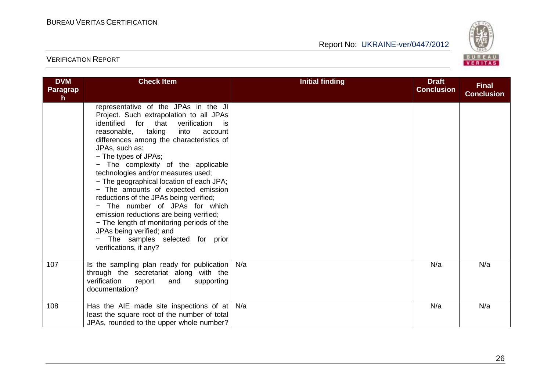

| <b>DVM</b><br><b>Paragrap</b><br>h | <b>Check Item</b>                                                                                                                                                                                                                                                                                                                                                                                                                                                                                                                                                                                                                                                                          | <b>Initial finding</b> | <b>Draft</b><br><b>Conclusion</b> | <b>Final</b><br><b>Conclusion</b> |
|------------------------------------|--------------------------------------------------------------------------------------------------------------------------------------------------------------------------------------------------------------------------------------------------------------------------------------------------------------------------------------------------------------------------------------------------------------------------------------------------------------------------------------------------------------------------------------------------------------------------------------------------------------------------------------------------------------------------------------------|------------------------|-----------------------------------|-----------------------------------|
|                                    | representative of the JPAs in the JI<br>Project. Such extrapolation to all JPAs<br>identified for that<br>verification<br>is is<br>reasonable, taking<br>into<br>account<br>differences among the characteristics of<br>JPAs, such as:<br>- The types of JPAs;<br>- The complexity of the applicable<br>technologies and/or measures used;<br>- The geographical location of each JPA;<br>- The amounts of expected emission<br>reductions of the JPAs being verified;<br>- The number of JPAs for which<br>emission reductions are being verified;<br>- The length of monitoring periods of the<br>JPAs being verified; and<br>- The samples selected for prior<br>verifications, if any? |                        |                                   |                                   |
| 107                                | Is the sampling plan ready for publication<br>through the secretariat along with the<br>verification<br>report<br>and<br>supporting<br>documentation?                                                                                                                                                                                                                                                                                                                                                                                                                                                                                                                                      | N/a                    | N/a                               | N/a                               |
| 108                                | Has the AIE made site inspections of at<br>least the square root of the number of total<br>JPAs, rounded to the upper whole number?                                                                                                                                                                                                                                                                                                                                                                                                                                                                                                                                                        | N/a                    | N/a                               | N/a                               |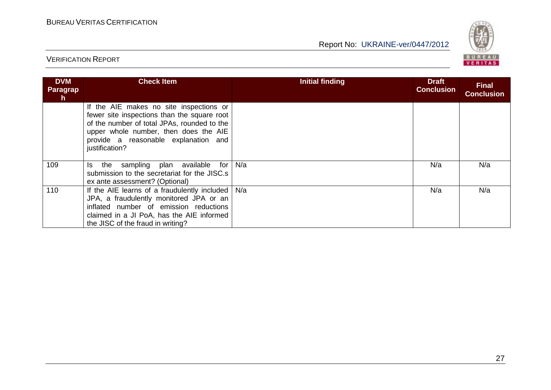

| <b>DVM</b><br>Paragrap<br>$\mathsf{h}$ | <b>Check Item</b>                                                                                                                                                                                                                        | <b>Initial finding</b> | <b>Draft</b><br><b>Conclusion</b> | <b>Final</b><br><b>Conclusion</b> |
|----------------------------------------|------------------------------------------------------------------------------------------------------------------------------------------------------------------------------------------------------------------------------------------|------------------------|-----------------------------------|-----------------------------------|
|                                        | If the AIE makes no site inspections or<br>fewer site inspections than the square root<br>of the number of total JPAs, rounded to the<br>upper whole number, then does the AIE<br>provide a reasonable explanation and<br>justification? |                        |                                   |                                   |
| 109                                    | plan available<br>sampling<br>for<br>Is the<br>submission to the secretariat for the JISC.s<br>ex ante assessment? (Optional)                                                                                                            | N/a                    | N/a                               | N/a                               |
| 110                                    | If the AIE learns of a fraudulently included $\vert$ N/a<br>JPA, a fraudulently monitored JPA or an<br>inflated number of emission reductions<br>claimed in a JI PoA, has the AIE informed<br>the JISC of the fraud in writing?          |                        | N/a                               | N/a                               |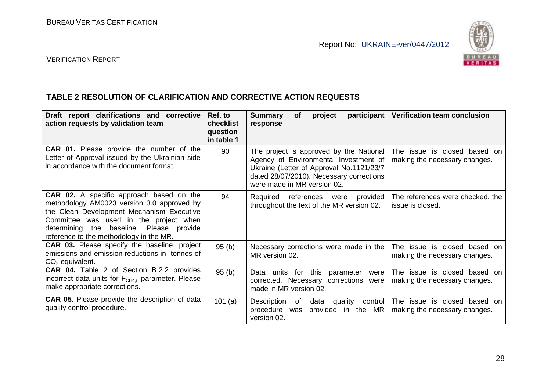

## VERIFICATION REPORT

#### **TABLE 2 RESOLUTION OF CLARIFICATION AND CORRECTIVE ACTION REQUESTS**

| Draft report clarifications and corrective<br>action requests by validation team                                                                                                                                                                                            | Ref. to<br>checklist<br>question<br>in table 1 | <b>Summary</b><br>participant  <br><b>of</b><br>project<br>response                                                                                                                                     | <b>Verification team conclusion</b>                              |
|-----------------------------------------------------------------------------------------------------------------------------------------------------------------------------------------------------------------------------------------------------------------------------|------------------------------------------------|---------------------------------------------------------------------------------------------------------------------------------------------------------------------------------------------------------|------------------------------------------------------------------|
| CAR 01. Please provide the number of the<br>Letter of Approval issued by the Ukrainian side<br>in accordance with the document format.                                                                                                                                      | 90                                             | The project is approved by the National<br>Agency of Environmental Investment of<br>Ukraine (Letter of Approval No.1121/23/7<br>dated 28/07/2010). Necessary corrections<br>were made in MR version 02. | The issue<br>is closed based on<br>making the necessary changes. |
| <b>CAR 02.</b> A specific approach based on the<br>methodology AM0023 version 3.0 approved by<br>the Clean Development Mechanism Executive<br>Committee was used in the project when<br>determining the baseline. Please provide<br>reference to the methodology in the MR. | 94                                             | Required<br>provided<br>references were<br>throughout the text of the MR version 02.                                                                                                                    | The references were checked, the<br>issue is closed.             |
| <b>CAR 03.</b> Please specify the baseline, project<br>emissions and emission reductions in tonnes of<br>$CO2$ equivalent.                                                                                                                                                  | 95(b)                                          | Necessary corrections were made in the<br>MR version 02.                                                                                                                                                | The issue is closed based on<br>making the necessary changes.    |
| <b>CAR 04.</b> Table 2 of Section B.2.2 provides<br>incorrect data units for F <sub>CH4.i</sub> parameter. Please<br>make appropriate corrections.                                                                                                                          | 95(b)                                          | Data units for this<br>parameter<br>were<br>corrected. Necessary corrections<br>were<br>made in MR version 02.                                                                                          | The issue is closed based on<br>making the necessary changes.    |
| <b>CAR 05.</b> Please provide the description of data<br>quality control procedure.                                                                                                                                                                                         | 101 $(a)$                                      | Description<br>quality<br>data<br>control  <br>of<br>provided<br>the MR<br>procedure<br>was<br>in.<br>version 02.                                                                                       | The issue is closed based on<br>making the necessary changes.    |